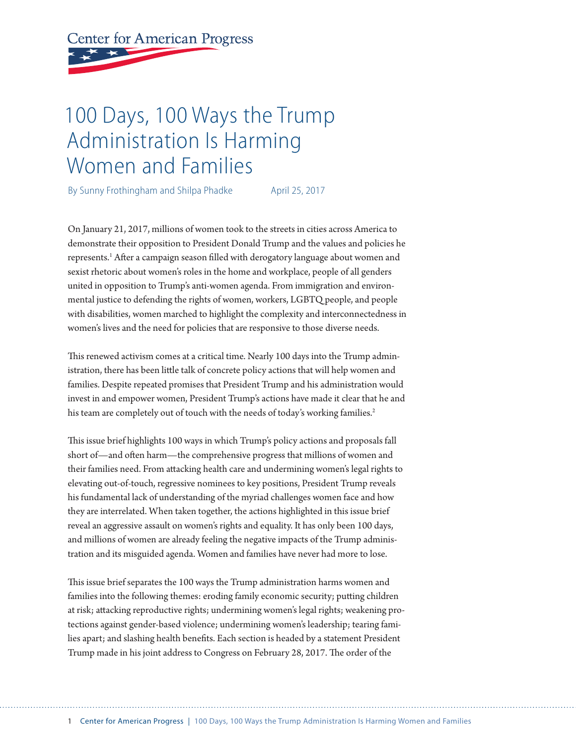# **Center for American Progress**

## 100 Days, 100 Ways the Trump Administration Is Harming Women and Families

By Sunny Frothingham and Shilpa Phadke April 25, 2017

On January 21, 2017, millions of women took to the streets in cities across America to demonstrate their opposition to President Donald Trump and the values and policies he represents.<sup>1</sup> After a campaign season filled with derogatory language about women and sexist rhetoric about women's roles in the home and workplace, people of all genders united in opposition to Trump's anti-women agenda. From immigration and environmental justice to defending the rights of women, workers, LGBTQ people, and people with disabilities, women marched to highlight the complexity and interconnectedness in women's lives and the need for policies that are responsive to those diverse needs.

This renewed activism comes at a critical time. Nearly 100 days into the Trump administration, there has been little talk of concrete policy actions that will help women and families. Despite repeated promises that President Trump and his administration would invest in and empower women, President Trump's actions have made it clear that he and his team are completely out of touch with the needs of today's working families.<sup>2</sup>

This issue brief highlights 100 ways in which Trump's policy actions and proposals fall short of—and often harm—the comprehensive progress that millions of women and their families need. From attacking health care and undermining women's legal rights to elevating out-of-touch, regressive nominees to key positions, President Trump reveals his fundamental lack of understanding of the myriad challenges women face and how they are interrelated. When taken together, the actions highlighted in this issue brief reveal an aggressive assault on women's rights and equality. It has only been 100 days, and millions of women are already feeling the negative impacts of the Trump administration and its misguided agenda. Women and families have never had more to lose.

This issue brief separates the 100 ways the Trump administration harms women and families into the following themes: eroding family economic security; putting children at risk; attacking reproductive rights; undermining women's legal rights; weakening protections against gender-based violence; undermining women's leadership; tearing families apart; and slashing health benefits. Each section is headed by a statement President Trump made in his joint address to Congress on February 28, 2017. The order of the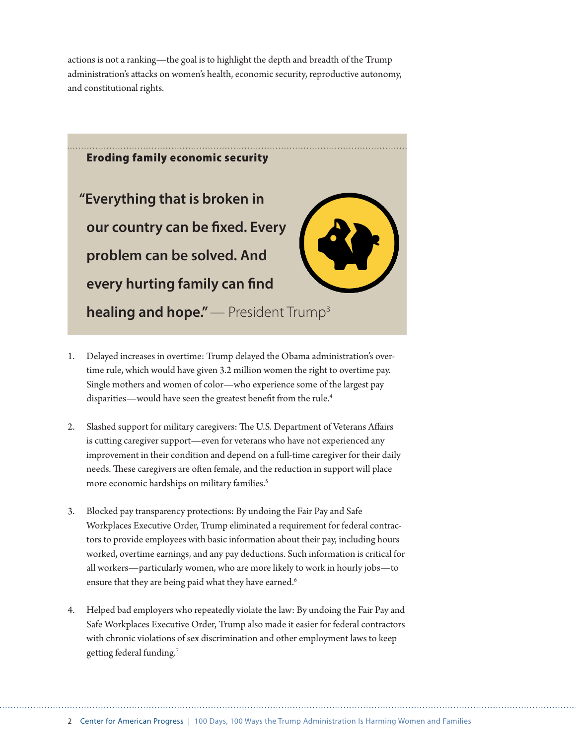actions is not a ranking—the goal is to highlight the depth and breadth of the Trump administration's attacks on women's health, economic security, reproductive autonomy, and constitutional rights.



- 1. Delayed increases in overtime: Trump delayed the Obama administration's overtime rule, which would have given 3.2 million women the right to overtime pay. Single mothers and women of color—who experience some of the largest pay disparities—would have seen the greatest benefit from the rule.<sup>4</sup>
- 2. Slashed support for military caregivers: The U.S. Department of Veterans Affairs is cutting caregiver support—even for veterans who have not experienced any improvement in their condition and depend on a full-time caregiver for their daily needs. These caregivers are often female, and the reduction in support will place more economic hardships on military families.<sup>5</sup>
- 3. Blocked pay transparency protections: By undoing the Fair Pay and Safe Workplaces Executive Order, Trump eliminated a requirement for federal contractors to provide employees with basic information about their pay, including hours worked, overtime earnings, and any pay deductions. Such information is critical for all workers—particularly women, who are more likely to work in hourly jobs—to ensure that they are being paid what they have earned.<sup>6</sup>
- 4. Helped bad employers who repeatedly violate the law: By undoing the Fair Pay and Safe Workplaces Executive Order, Trump also made it easier for federal contractors with chronic violations of sex discrimination and other employment laws to keep getting federal funding.7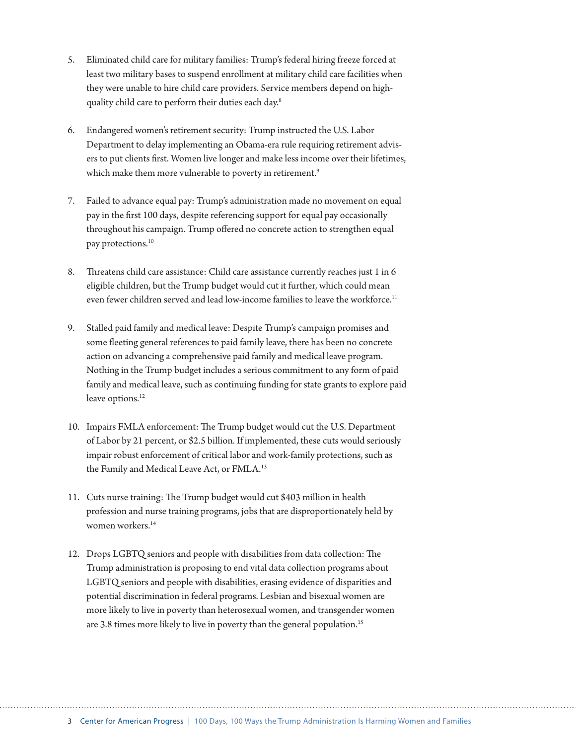- 5. Eliminated child care for military families: Trump's federal hiring freeze forced at least two military bases to suspend enrollment at military child care facilities when they were unable to hire child care providers. Service members depend on highquality child care to perform their duties each day.<sup>8</sup>
- 6. Endangered women's retirement security: Trump instructed the U.S. Labor Department to delay implementing an Obama-era rule requiring retirement advisers to put clients first. Women live longer and make less income over their lifetimes, which make them more vulnerable to poverty in retirement.<sup>9</sup>
- 7. Failed to advance equal pay: Trump's administration made no movement on equal pay in the first 100 days, despite referencing support for equal pay occasionally throughout his campaign. Trump offered no concrete action to strengthen equal pay protections.<sup>10</sup>
- 8. Threatens child care assistance: Child care assistance currently reaches just 1 in 6 eligible children, but the Trump budget would cut it further, which could mean even fewer children served and lead low-income families to leave the workforce.<sup>11</sup>
- 9. Stalled paid family and medical leave: Despite Trump's campaign promises and some fleeting general references to paid family leave, there has been no concrete action on advancing a comprehensive paid family and medical leave program. Nothing in the Trump budget includes a serious commitment to any form of paid family and medical leave, such as continuing funding for state grants to explore paid leave options.<sup>12</sup>
- 10. Impairs FMLA enforcement: The Trump budget would cut the U.S. Department of Labor by 21 percent, or \$2.5 billion. If implemented, these cuts would seriously impair robust enforcement of critical labor and work-family protections, such as the Family and Medical Leave Act, or FMLA.<sup>13</sup>
- 11. Cuts nurse training: The Trump budget would cut \$403 million in health profession and nurse training programs, jobs that are disproportionately held by women workers.<sup>14</sup>
- 12. Drops LGBTQ seniors and people with disabilities from data collection: The Trump administration is proposing to end vital data collection programs about LGBTQ seniors and people with disabilities, erasing evidence of disparities and potential discrimination in federal programs. Lesbian and bisexual women are more likely to live in poverty than heterosexual women, and transgender women are 3.8 times more likely to live in poverty than the general population.<sup>15</sup>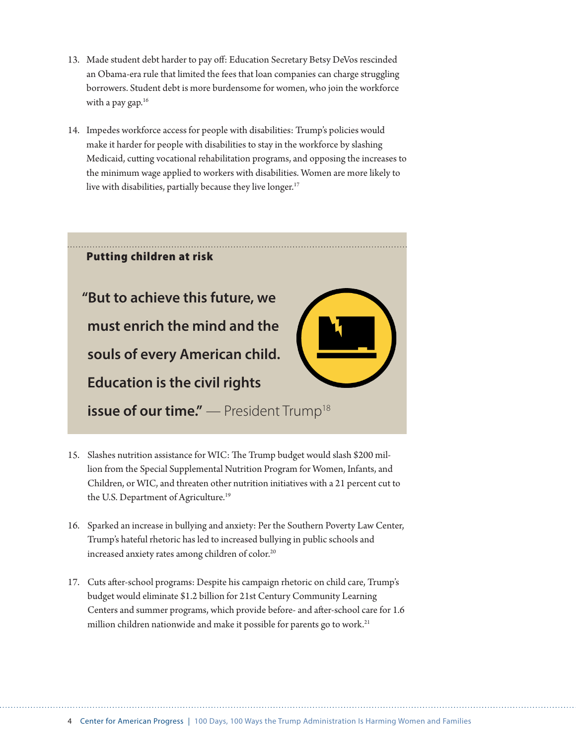- 13. Made student debt harder to pay off: Education Secretary Betsy DeVos rescinded an Obama-era rule that limited the fees that loan companies can charge struggling borrowers. Student debt is more burdensome for women, who join the workforce with a pay gap.<sup>16</sup>
- 14. Impedes workforce access for people with disabilities: Trump's policies would make it harder for people with disabilities to stay in the workforce by slashing Medicaid, cutting vocational rehabilitation programs, and opposing the increases to the minimum wage applied to workers with disabilities. Women are more likely to live with disabilities, partially because they live longer.<sup>17</sup>



- 15. Slashes nutrition assistance for WIC: The Trump budget would slash \$200 million from the Special Supplemental Nutrition Program for Women, Infants, and Children, or WIC, and threaten other nutrition initiatives with a 21 percent cut to the U.S. Department of Agriculture.<sup>19</sup>
- 16. Sparked an increase in bullying and anxiety: Per the Southern Poverty Law Center, Trump's hateful rhetoric has led to increased bullying in public schools and increased anxiety rates among children of color.<sup>20</sup>
- 17. Cuts after-school programs: Despite his campaign rhetoric on child care, Trump's budget would eliminate \$1.2 billion for 21st Century Community Learning Centers and summer programs, which provide before- and after-school care for 1.6 million children nationwide and make it possible for parents go to work.<sup>21</sup>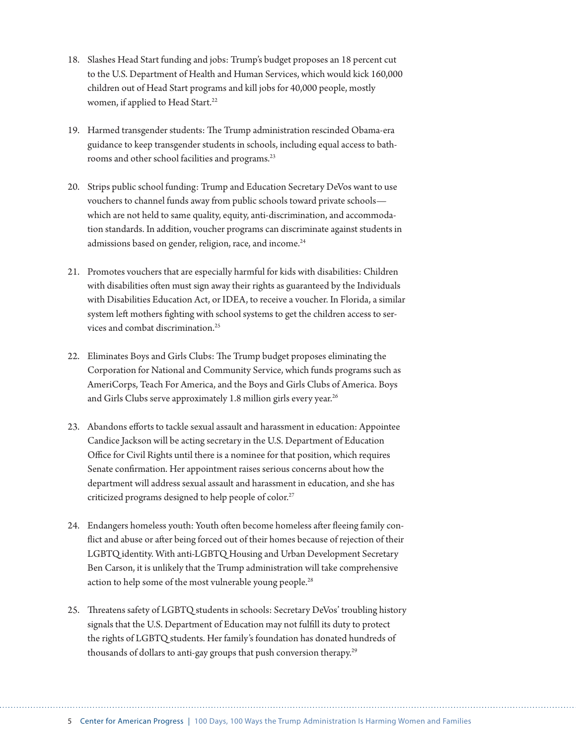- 18. Slashes Head Start funding and jobs: Trump's budget proposes an 18 percent cut to the U.S. Department of Health and Human Services, which would kick 160,000 children out of Head Start programs and kill jobs for 40,000 people, mostly women, if applied to Head Start.<sup>22</sup>
- 19. Harmed transgender students: The Trump administration rescinded Obama-era guidance to keep transgender students in schools, including equal access to bathrooms and other school facilities and programs.<sup>23</sup>
- 20. Strips public school funding: Trump and Education Secretary DeVos want to use vouchers to channel funds away from public schools toward private schools which are not held to same quality, equity, anti-discrimination, and accommodation standards. In addition, voucher programs can discriminate against students in admissions based on gender, religion, race, and income.<sup>24</sup>
- 21. Promotes vouchers that are especially harmful for kids with disabilities: Children with disabilities often must sign away their rights as guaranteed by the Individuals with Disabilities Education Act, or IDEA, to receive a voucher. In Florida, a similar system left mothers fighting with school systems to get the children access to services and combat discrimination.25
- 22. Eliminates Boys and Girls Clubs: The Trump budget proposes eliminating the Corporation for National and Community Service, which funds programs such as AmeriCorps, Teach For America, and the Boys and Girls Clubs of America. Boys and Girls Clubs serve approximately 1.8 million girls every year.<sup>26</sup>
- 23. Abandons efforts to tackle sexual assault and harassment in education: Appointee Candice Jackson will be acting secretary in the U.S. Department of Education Office for Civil Rights until there is a nominee for that position, which requires Senate confirmation. Her appointment raises serious concerns about how the department will address sexual assault and harassment in education, and she has criticized programs designed to help people of color.<sup>27</sup>
- 24. Endangers homeless youth: Youth often become homeless after fleeing family conflict and abuse or after being forced out of their homes because of rejection of their LGBTQ identity. With anti-LGBTQ Housing and Urban Development Secretary Ben Carson, it is unlikely that the Trump administration will take comprehensive action to help some of the most vulnerable young people.<sup>28</sup>
- 25. Threatens safety of LGBTQ students in schools: Secretary DeVos' troubling history signals that the U.S. Department of Education may not fulfill its duty to protect the rights of LGBTQ students. Her family's foundation has donated hundreds of thousands of dollars to anti-gay groups that push conversion therapy.<sup>29</sup>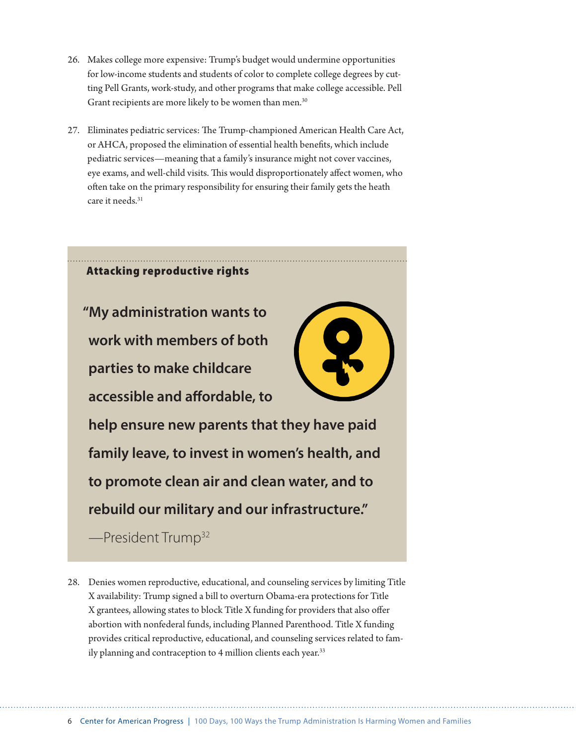- 26. Makes college more expensive: Trump's budget would undermine opportunities for low-income students and students of color to complete college degrees by cutting Pell Grants, work-study, and other programs that make college accessible. Pell Grant recipients are more likely to be women than men.<sup>30</sup>
- 27. Eliminates pediatric services: The Trump-championed American Health Care Act, or AHCA, proposed the elimination of essential health benefits, which include pediatric services—meaning that a family's insurance might not cover vaccines, eye exams, and well-child visits. This would disproportionately affect women, who often take on the primary responsibility for ensuring their family gets the heath care it needs.<sup>31</sup>



28. Denies women reproductive, educational, and counseling services by limiting Title X availability: Trump signed a bill to overturn Obama-era protections for Title X grantees, allowing states to block Title X funding for providers that also offer abortion with nonfederal funds, including Planned Parenthood. Title X funding provides critical reproductive, educational, and counseling services related to family planning and contraception to 4 million clients each year.<sup>33</sup>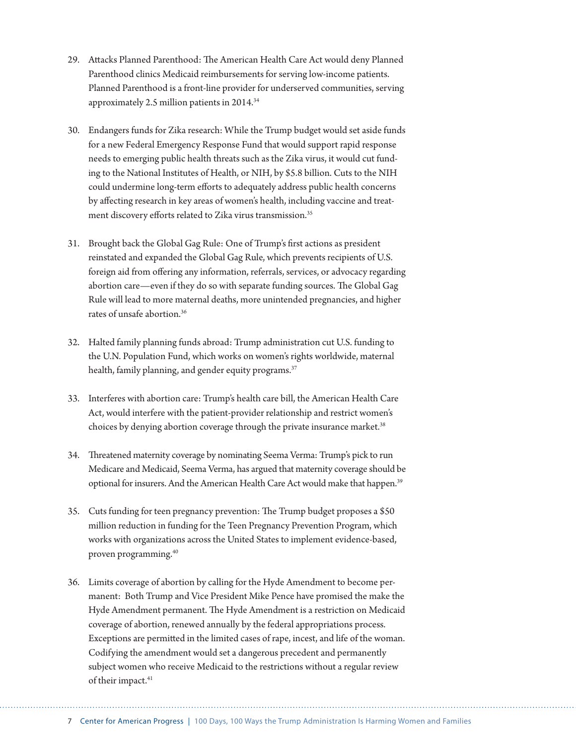- 29. Attacks Planned Parenthood: The American Health Care Act would deny Planned Parenthood clinics Medicaid reimbursements for serving low-income patients. Planned Parenthood is a front-line provider for underserved communities, serving approximately 2.5 million patients in 2014.34
- 30. Endangers funds for Zika research: While the Trump budget would set aside funds for a new Federal Emergency Response Fund that would support rapid response needs to emerging public health threats such as the Zika virus, it would cut funding to the National Institutes of Health, or NIH, by \$5.8 billion. Cuts to the NIH could undermine long-term efforts to adequately address public health concerns by affecting research in key areas of women's health, including vaccine and treatment discovery efforts related to Zika virus transmission.<sup>35</sup>
- 31. Brought back the Global Gag Rule: One of Trump's first actions as president reinstated and expanded the Global Gag Rule, which prevents recipients of U.S. foreign aid from offering any information, referrals, services, or advocacy regarding abortion care—even if they do so with separate funding sources. The Global Gag Rule will lead to more maternal deaths, more unintended pregnancies, and higher rates of unsafe abortion.36
- 32. Halted family planning funds abroad: Trump administration cut U.S. funding to the U.N. Population Fund, which works on women's rights worldwide, maternal health, family planning, and gender equity programs.<sup>37</sup>
- 33. Interferes with abortion care: Trump's health care bill, the American Health Care Act, would interfere with the patient-provider relationship and restrict women's choices by denying abortion coverage through the private insurance market.<sup>38</sup>
- 34. Threatened maternity coverage by nominating Seema Verma: Trump's pick to run Medicare and Medicaid, Seema Verma, has argued that maternity coverage should be optional for insurers. And the American Health Care Act would make that happen.<sup>39</sup>
- 35. Cuts funding for teen pregnancy prevention: The Trump budget proposes a \$50 million reduction in funding for the Teen Pregnancy Prevention Program, which works with organizations across the United States to implement evidence-based, proven programming.40
- 36. Limits coverage of abortion by calling for the Hyde Amendment to become permanent: Both Trump and Vice President Mike Pence have promised the make the Hyde Amendment permanent. The Hyde Amendment is a restriction on Medicaid coverage of abortion, renewed annually by the federal appropriations process. Exceptions are permitted in the limited cases of rape, incest, and life of the woman. Codifying the amendment would set a dangerous precedent and permanently subject women who receive Medicaid to the restrictions without a regular review of their impact.<sup>41</sup>

7 Center for American Progress | 100 Days, 100 Ways the Trump Administration Is Harming Women and Families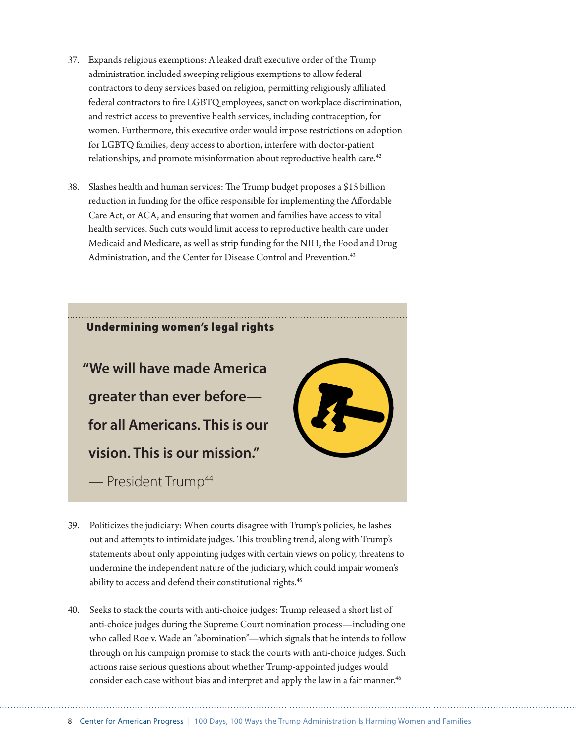- 37. Expands religious exemptions: A leaked draft executive order of the Trump administration included sweeping religious exemptions to allow federal contractors to deny services based on religion, permitting religiously affiliated federal contractors to fire LGBTQ employees, sanction workplace discrimination, and restrict access to preventive health services, including contraception, for women. Furthermore, this executive order would impose restrictions on adoption for LGBTQ families, deny access to abortion, interfere with doctor-patient relationships, and promote misinformation about reproductive health care.<sup>42</sup>
- 38. Slashes health and human services: The Trump budget proposes a \$15 billion reduction in funding for the office responsible for implementing the Affordable Care Act, or ACA, and ensuring that women and families have access to vital health services. Such cuts would limit access to reproductive health care under Medicaid and Medicare, as well as strip funding for the NIH, the Food and Drug Administration, and the Center for Disease Control and Prevention.<sup>43</sup>



- 39. Politicizes the judiciary: When courts disagree with Trump's policies, he lashes out and attempts to intimidate judges. This troubling trend, along with Trump's statements about only appointing judges with certain views on policy, threatens to undermine the independent nature of the judiciary, which could impair women's ability to access and defend their constitutional rights.<sup>45</sup>
- 40. Seeks to stack the courts with anti-choice judges: Trump released a short list of anti-choice judges during the Supreme Court nomination process—including one who called Roe v. Wade an "abomination"—which signals that he intends to follow through on his campaign promise to stack the courts with anti-choice judges. Such actions raise serious questions about whether Trump-appointed judges would consider each case without bias and interpret and apply the law in a fair manner.<sup>46</sup>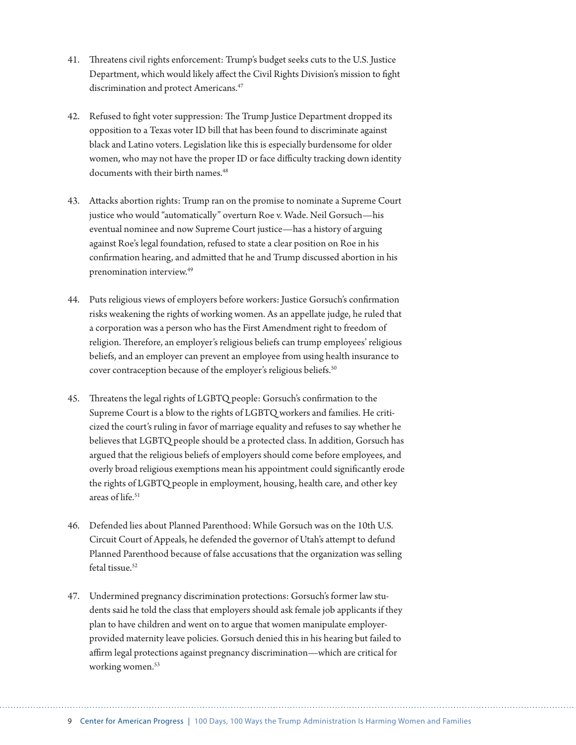- 41. Threatens civil rights enforcement: Trump's budget seeks cuts to the U.S. Justice Department, which would likely affect the Civil Rights Division's mission to fight discrimination and protect Americans.<sup>47</sup>
- 42. Refused to fight voter suppression: The Trump Justice Department dropped its opposition to a Texas voter ID bill that has been found to discriminate against black and Latino voters. Legislation like this is especially burdensome for older women, who may not have the proper ID or face difficulty tracking down identity documents with their birth names.<sup>48</sup>
- 43. Attacks abortion rights: Trump ran on the promise to nominate a Supreme Court justice who would "automatically" overturn Roe v. Wade. Neil Gorsuch—his eventual nominee and now Supreme Court justice—has a history of arguing against Roe's legal foundation, refused to state a clear position on Roe in his confirmation hearing, and admitted that he and Trump discussed abortion in his prenomination interview.49
- 44. Puts religious views of employers before workers: Justice Gorsuch's confirmation risks weakening the rights of working women. As an appellate judge, he ruled that a corporation was a person who has the First Amendment right to freedom of religion. Therefore, an employer's religious beliefs can trump employees' religious beliefs, and an employer can prevent an employee from using health insurance to cover contraception because of the employer's religious beliefs.<sup>50</sup>
- 45. Threatens the legal rights of LGBTQ people: Gorsuch's confirmation to the Supreme Court is a blow to the rights of LGBTQ workers and families. He criticized the court's ruling in favor of marriage equality and refuses to say whether he believes that LGBTQ people should be a protected class. In addition, Gorsuch has argued that the religious beliefs of employers should come before employees, and overly broad religious exemptions mean his appointment could significantly erode the rights of LGBTQ people in employment, housing, health care, and other key areas of life.<sup>51</sup>
- 46. Defended lies about Planned Parenthood: While Gorsuch was on the 10th U.S. Circuit Court of Appeals, he defended the governor of Utah's attempt to defund Planned Parenthood because of false accusations that the organization was selling fetal tissue.<sup>52</sup>
- 47. Undermined pregnancy discrimination protections: Gorsuch's former law students said he told the class that employers should ask female job applicants if they plan to have children and went on to argue that women manipulate employerprovided maternity leave policies. Gorsuch denied this in his hearing but failed to affirm legal protections against pregnancy discrimination—which are critical for working women.<sup>53</sup>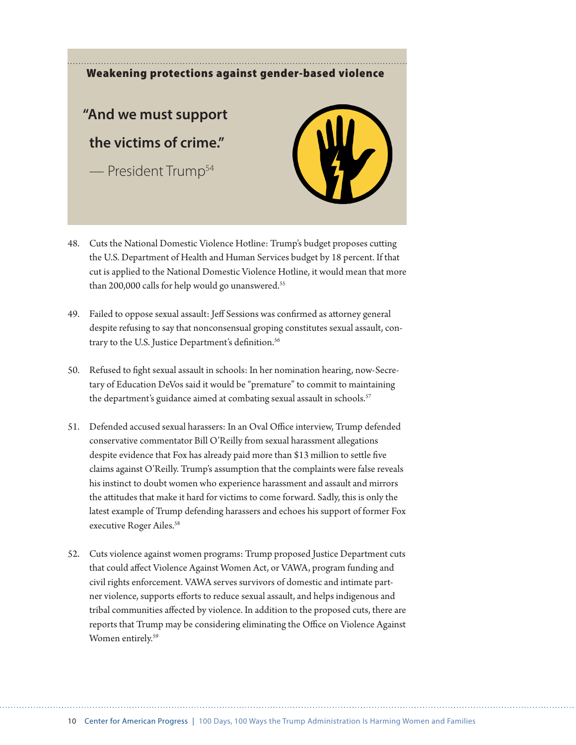### Weakening protections against gender-based violence

### **"And we must support the victims of crime."**

— President Trump54



- 48. Cuts the National Domestic Violence Hotline: Trump's budget proposes cutting the U.S. Department of Health and Human Services budget by 18 percent. If that cut is applied to the National Domestic Violence Hotline, it would mean that more than 200,000 calls for help would go unanswered.<sup>55</sup>
- 49. Failed to oppose sexual assault: Jeff Sessions was confirmed as attorney general despite refusing to say that nonconsensual groping constitutes sexual assault, contrary to the U.S. Justice Department's definition.<sup>56</sup>
- 50. Refused to fight sexual assault in schools: In her nomination hearing, now-Secretary of Education DeVos said it would be "premature" to commit to maintaining the department's guidance aimed at combating sexual assault in schools.<sup>57</sup>
- 51. Defended accused sexual harassers: In an Oval Office interview, Trump defended conservative commentator Bill O'Reilly from sexual harassment allegations despite evidence that Fox has already paid more than \$13 million to settle five claims against O'Reilly. Trump's assumption that the complaints were false reveals his instinct to doubt women who experience harassment and assault and mirrors the attitudes that make it hard for victims to come forward. Sadly, this is only the latest example of Trump defending harassers and echoes his support of former Fox executive Roger Ailes.<sup>58</sup>
- 52. Cuts violence against women programs: Trump proposed Justice Department cuts that could affect Violence Against Women Act, or VAWA, program funding and civil rights enforcement. VAWA serves survivors of domestic and intimate partner violence, supports efforts to reduce sexual assault, and helps indigenous and tribal communities affected by violence. In addition to the proposed cuts, there are reports that Trump may be considering eliminating the Office on Violence Against Women entirely.<sup>59</sup>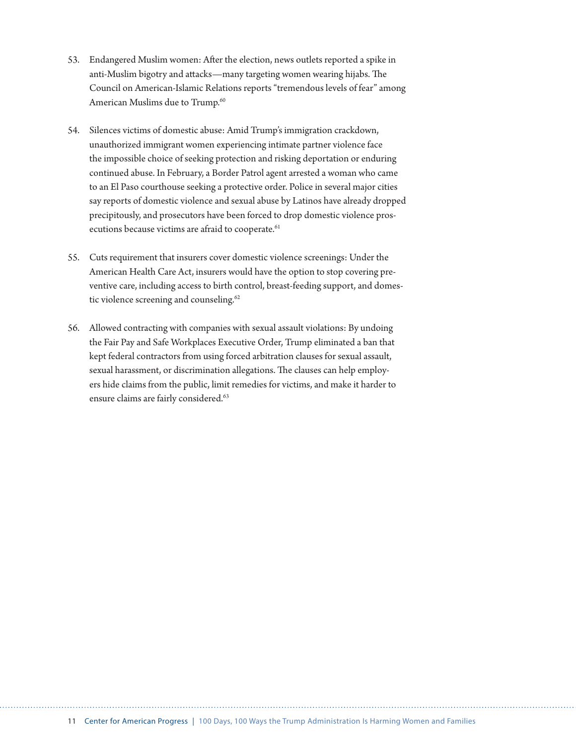- 53. Endangered Muslim women: After the election, news outlets reported a spike in anti-Muslim bigotry and attacks—many targeting women wearing hijabs. The Council on American-Islamic Relations reports "tremendous levels of fear" among American Muslims due to Trump.<sup>60</sup>
- 54. Silences victims of domestic abuse: Amid Trump's immigration crackdown, unauthorized immigrant women experiencing intimate partner violence face the impossible choice of seeking protection and risking deportation or enduring continued abuse. In February, a Border Patrol agent arrested a woman who came to an El Paso courthouse seeking a protective order. Police in several major cities say reports of domestic violence and sexual abuse by Latinos have already dropped precipitously, and prosecutors have been forced to drop domestic violence prosecutions because victims are afraid to cooperate.<sup>61</sup>
- 55. Cuts requirement that insurers cover domestic violence screenings: Under the American Health Care Act, insurers would have the option to stop covering preventive care, including access to birth control, breast-feeding support, and domestic violence screening and counseling.<sup>62</sup>
- 56. Allowed contracting with companies with sexual assault violations: By undoing the Fair Pay and Safe Workplaces Executive Order, Trump eliminated a ban that kept federal contractors from using forced arbitration clauses for sexual assault, sexual harassment, or discrimination allegations. The clauses can help employers hide claims from the public, limit remedies for victims, and make it harder to ensure claims are fairly considered.<sup>63</sup>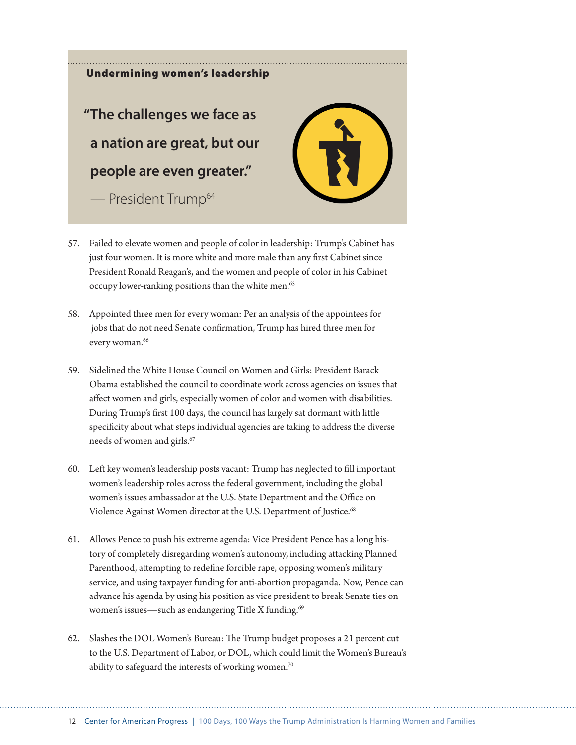Undermining women's leadership **"The challenges we face as a nation are great, but our people are even greater."**  $-$  President Trump<sup>64</sup>



- 57. Failed to elevate women and people of color in leadership: Trump's Cabinet has just four women. It is more white and more male than any first Cabinet since President Ronald Reagan's, and the women and people of color in his Cabinet occupy lower-ranking positions than the white men.<sup>65</sup>
- 58. Appointed three men for every woman: Per an analysis of the appointees for jobs that do not need Senate confirmation, Trump has hired three men for every woman.<sup>66</sup>
- 59. Sidelined the White House Council on Women and Girls: President Barack Obama established the council to coordinate work across agencies on issues that affect women and girls, especially women of color and women with disabilities. During Trump's first 100 days, the council has largely sat dormant with little specificity about what steps individual agencies are taking to address the diverse needs of women and girls.<sup>67</sup>
- 60. Left key women's leadership posts vacant: Trump has neglected to fill important women's leadership roles across the federal government, including the global women's issues ambassador at the U.S. State Department and the Office on Violence Against Women director at the U.S. Department of Justice.<sup>68</sup>
- 61. Allows Pence to push his extreme agenda: Vice President Pence has a long history of completely disregarding women's autonomy, including attacking Planned Parenthood, attempting to redefine forcible rape, opposing women's military service, and using taxpayer funding for anti-abortion propaganda. Now, Pence can advance his agenda by using his position as vice president to break Senate ties on women's issues—such as endangering Title X funding.<sup>69</sup>
- 62. Slashes the DOL Women's Bureau: The Trump budget proposes a 21 percent cut to the U.S. Department of Labor, or DOL, which could limit the Women's Bureau's ability to safeguard the interests of working women.<sup>70</sup>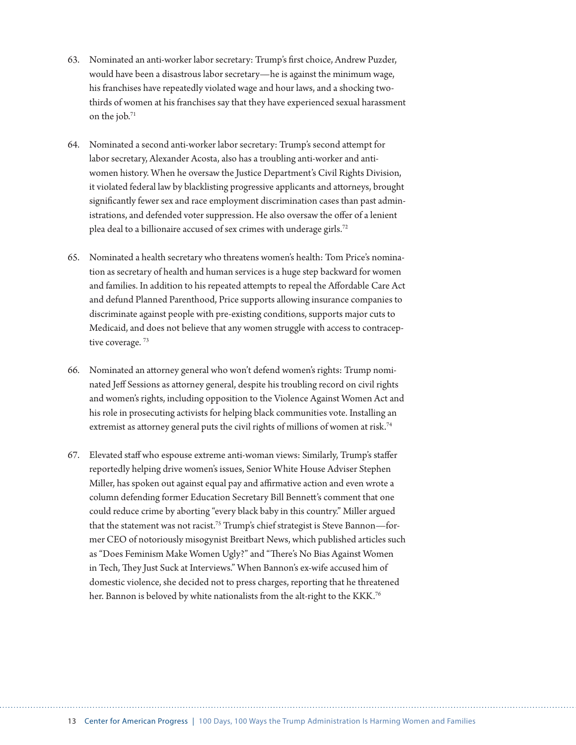- 63. Nominated an anti-worker labor secretary: Trump's first choice, Andrew Puzder, would have been a disastrous labor secretary—he is against the minimum wage, his franchises have repeatedly violated wage and hour laws, and a shocking twothirds of women at his franchises say that they have experienced sexual harassment on the job.71
- 64. Nominated a second anti-worker labor secretary: Trump's second attempt for labor secretary, Alexander Acosta, also has a troubling anti-worker and antiwomen history. When he oversaw the Justice Department's Civil Rights Division, it violated federal law by blacklisting progressive applicants and attorneys, brought significantly fewer sex and race employment discrimination cases than past administrations, and defended voter suppression. He also oversaw the offer of a lenient plea deal to a billionaire accused of sex crimes with underage girls.72
- 65. Nominated a health secretary who threatens women's health: Tom Price's nomination as secretary of health and human services is a huge step backward for women and families. In addition to his repeated attempts to repeal the Affordable Care Act and defund Planned Parenthood, Price supports allowing insurance companies to discriminate against people with pre-existing conditions, supports major cuts to Medicaid, and does not believe that any women struggle with access to contraceptive coverage.<sup>73</sup>
- 66. Nominated an attorney general who won't defend women's rights: Trump nominated Jeff Sessions as attorney general, despite his troubling record on civil rights and women's rights, including opposition to the Violence Against Women Act and his role in prosecuting activists for helping black communities vote. Installing an extremist as attorney general puts the civil rights of millions of women at risk.<sup>74</sup>
- 67. Elevated staff who espouse extreme anti-woman views: Similarly, Trump's staffer reportedly helping drive women's issues, Senior White House Adviser Stephen Miller, has spoken out against equal pay and affirmative action and even wrote a column defending former Education Secretary Bill Bennett's comment that one could reduce crime by aborting "every black baby in this country." Miller argued that the statement was not racist.<sup>75</sup> Trump's chief strategist is Steve Bannon—former CEO of notoriously misogynist Breitbart News, which published articles such as "Does Feminism Make Women Ugly?" and "There's No Bias Against Women in Tech, They Just Suck at Interviews." When Bannon's ex-wife accused him of domestic violence, she decided not to press charges, reporting that he threatened her. Bannon is beloved by white nationalists from the alt-right to the KKK.<sup>76</sup>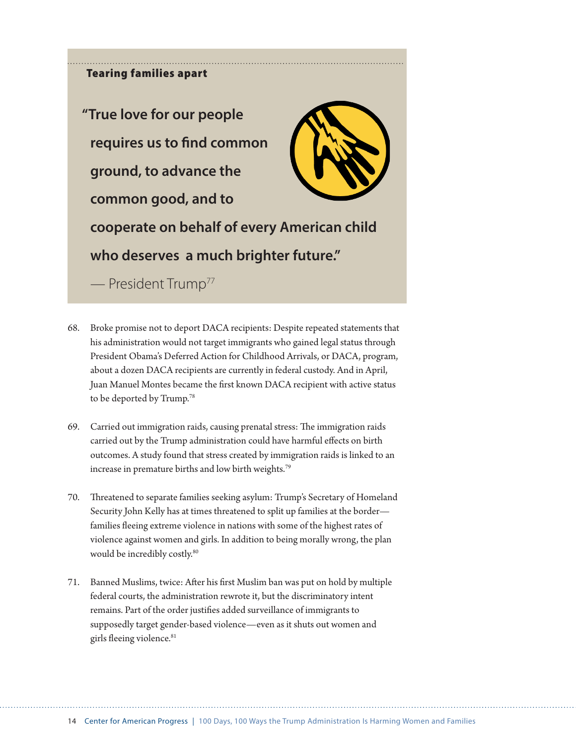### Tearing families apart

**"True love for our people requires us to find common ground, to advance the common good, and to cooperate on behalf of every American child who deserves a much brighter future."**

— President Trump77

- 68. Broke promise not to deport DACA recipients: Despite repeated statements that his administration would not target immigrants who gained legal status through President Obama's Deferred Action for Childhood Arrivals, or DACA, program, about a dozen DACA recipients are currently in federal custody. And in April, Juan Manuel Montes became the first known DACA recipient with active status to be deported by Trump.<sup>78</sup>
- 69. Carried out immigration raids, causing prenatal stress: The immigration raids carried out by the Trump administration could have harmful effects on birth outcomes. A study found that stress created by immigration raids is linked to an increase in premature births and low birth weights.<sup>79</sup>
- 70. Threatened to separate families seeking asylum: Trump's Secretary of Homeland Security John Kelly has at times threatened to split up families at the border families fleeing extreme violence in nations with some of the highest rates of violence against women and girls. In addition to being morally wrong, the plan would be incredibly costly.<sup>80</sup>
- 71. Banned Muslims, twice: After his first Muslim ban was put on hold by multiple federal courts, the administration rewrote it, but the discriminatory intent remains. Part of the order justifies added surveillance of immigrants to supposedly target gender-based violence—even as it shuts out women and girls fleeing violence.<sup>81</sup>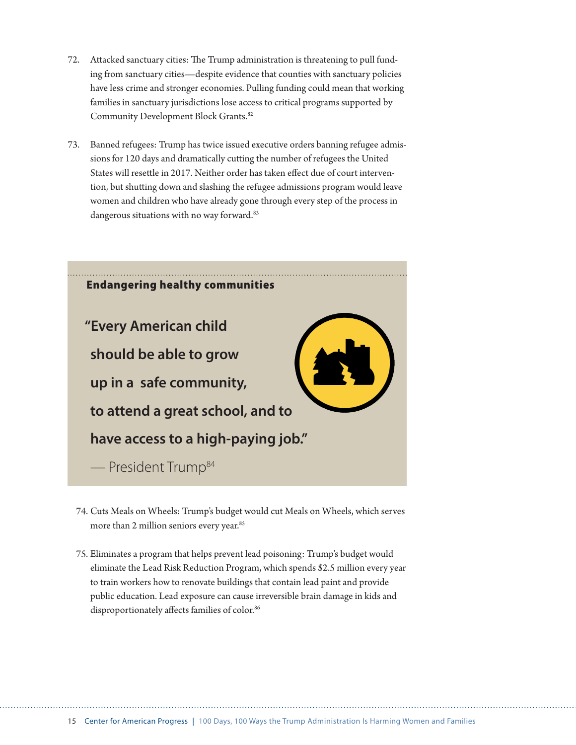- 72. Attacked sanctuary cities: The Trump administration is threatening to pull funding from sanctuary cities—despite evidence that counties with sanctuary policies have less crime and stronger economies. Pulling funding could mean that working families in sanctuary jurisdictions lose access to critical programs supported by Community Development Block Grants.82
- 73. Banned refugees: Trump has twice issued executive orders banning refugee admissions for 120 days and dramatically cutting the number of refugees the United States will resettle in 2017. Neither order has taken effect due of court intervention, but shutting down and slashing the refugee admissions program would leave women and children who have already gone through every step of the process in dangerous situations with no way forward.<sup>83</sup>



- 74. Cuts Meals on Wheels: Trump's budget would cut Meals on Wheels, which serves more than 2 million seniors every year.<sup>85</sup>
- 75. Eliminates a program that helps prevent lead poisoning: Trump's budget would eliminate the Lead Risk Reduction Program, which spends \$2.5 million every year to train workers how to renovate buildings that contain lead paint and provide public education. Lead exposure can cause irreversible brain damage in kids and disproportionately affects families of color.<sup>86</sup>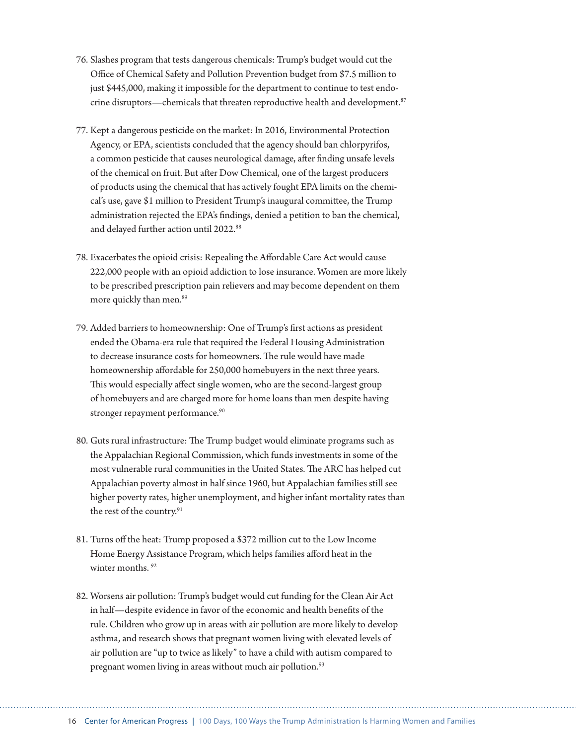- 76. Slashes program that tests dangerous chemicals: Trump's budget would cut the Office of Chemical Safety and Pollution Prevention budget from \$7.5 million to just \$445,000, making it impossible for the department to continue to test endocrine disruptors—chemicals that threaten reproductive health and development.<sup>87</sup>
- 77. Kept a dangerous pesticide on the market: In 2016, Environmental Protection Agency, or EPA, scientists concluded that the agency should ban chlorpyrifos, a common pesticide that causes neurological damage, after finding unsafe levels of the chemical on fruit. But after Dow Chemical, one of the largest producers of products using the chemical that has actively fought EPA limits on the chemical's use, gave \$1 million to President Trump's inaugural committee, the Trump administration rejected the EPA's findings, denied a petition to ban the chemical, and delayed further action until 2022.<sup>88</sup>
- 78. Exacerbates the opioid crisis: Repealing the Affordable Care Act would cause 222,000 people with an opioid addiction to lose insurance. Women are more likely to be prescribed prescription pain relievers and may become dependent on them more quickly than men.<sup>89</sup>
- 79. Added barriers to homeownership: One of Trump's first actions as president ended the Obama-era rule that required the Federal Housing Administration to decrease insurance costs for homeowners. The rule would have made homeownership affordable for 250,000 homebuyers in the next three years. This would especially affect single women, who are the second-largest group of homebuyers and are charged more for home loans than men despite having stronger repayment performance.<sup>90</sup>
- 80. Guts rural infrastructure: The Trump budget would eliminate programs such as the Appalachian Regional Commission, which funds investments in some of the most vulnerable rural communities in the United States. The ARC has helped cut Appalachian poverty almost in half since 1960, but Appalachian families still see higher poverty rates, higher unemployment, and higher infant mortality rates than the rest of the country.<sup>91</sup>
- 81. Turns off the heat: Trump proposed a \$372 million cut to the Low Income Home Energy Assistance Program, which helps families afford heat in the winter months.<sup>92</sup>
- 82. Worsens air pollution: Trump's budget would cut funding for the Clean Air Act in half—despite evidence in favor of the economic and health benefits of the rule. Children who grow up in areas with air pollution are more likely to develop asthma, and research shows that pregnant women living with elevated levels of air pollution are "up to twice as likely" to have a child with autism compared to pregnant women living in areas without much air pollution.<sup>93</sup>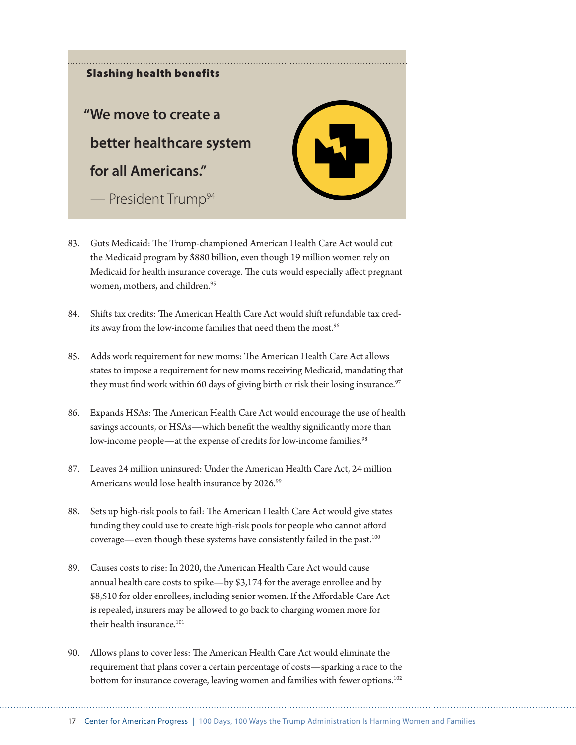

- 83. Guts Medicaid: The Trump-championed American Health Care Act would cut the Medicaid program by \$880 billion, even though 19 million women rely on Medicaid for health insurance coverage. The cuts would especially affect pregnant women, mothers, and children.<sup>95</sup>
- 84. Shifts tax credits: The American Health Care Act would shift refundable tax credits away from the low-income families that need them the most.<sup>96</sup>
- 85. Adds work requirement for new moms: The American Health Care Act allows states to impose a requirement for new moms receiving Medicaid, mandating that they must find work within 60 days of giving birth or risk their losing insurance.<sup>97</sup>
- 86. Expands HSAs: The American Health Care Act would encourage the use of health savings accounts, or HSAs—which benefit the wealthy significantly more than low-income people—at the expense of credits for low-income families.<sup>98</sup>
- 87. Leaves 24 million uninsured: Under the American Health Care Act, 24 million Americans would lose health insurance by 2026.<sup>99</sup>
- 88. Sets up high-risk pools to fail: The American Health Care Act would give states funding they could use to create high-risk pools for people who cannot afford coverage—even though these systems have consistently failed in the past.<sup>100</sup>
- 89. Causes costs to rise: In 2020, the American Health Care Act would cause annual health care costs to spike—by \$3,174 for the average enrollee and by \$8,510 for older enrollees, including senior women. If the Affordable Care Act is repealed, insurers may be allowed to go back to charging women more for their health insurance  $101$
- 90. Allows plans to cover less: The American Health Care Act would eliminate the requirement that plans cover a certain percentage of costs—sparking a race to the bottom for insurance coverage, leaving women and families with fewer options.<sup>102</sup>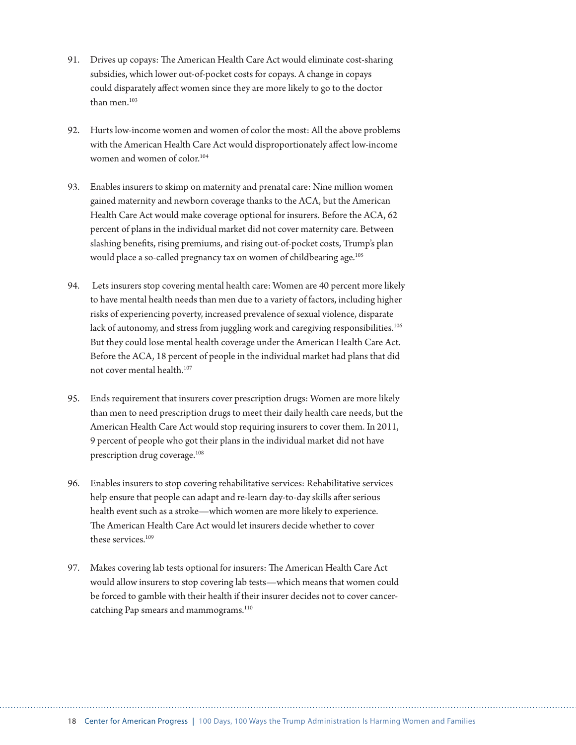- 91. Drives up copays: The American Health Care Act would eliminate cost-sharing subsidies, which lower out-of-pocket costs for copays. A change in copays could disparately affect women since they are more likely to go to the doctor than men.<sup>103</sup>
- 92. Hurts low-income women and women of color the most: All the above problems with the American Health Care Act would disproportionately affect low-income women and women of color.<sup>104</sup>
- 93. Enables insurers to skimp on maternity and prenatal care: Nine million women gained maternity and newborn coverage thanks to the ACA, but the American Health Care Act would make coverage optional for insurers. Before the ACA, 62 percent of plans in the individual market did not cover maternity care. Between slashing benefits, rising premiums, and rising out-of-pocket costs, Trump's plan would place a so-called pregnancy tax on women of childbearing age.<sup>105</sup>
- 94. Lets insurers stop covering mental health care: Women are 40 percent more likely to have mental health needs than men due to a variety of factors, including higher risks of experiencing poverty, increased prevalence of sexual violence, disparate lack of autonomy, and stress from juggling work and caregiving responsibilities.<sup>106</sup> But they could lose mental health coverage under the American Health Care Act. Before the ACA, 18 percent of people in the individual market had plans that did not cover mental health.107
- 95. Ends requirement that insurers cover prescription drugs: Women are more likely than men to need prescription drugs to meet their daily health care needs, but the American Health Care Act would stop requiring insurers to cover them. In 2011, 9 percent of people who got their plans in the individual market did not have prescription drug coverage.<sup>108</sup>
- 96. Enables insurers to stop covering rehabilitative services: Rehabilitative services help ensure that people can adapt and re-learn day-to-day skills after serious health event such as a stroke—which women are more likely to experience. The American Health Care Act would let insurers decide whether to cover these services.<sup>109</sup>
- 97. Makes covering lab tests optional for insurers: The American Health Care Act would allow insurers to stop covering lab tests—which means that women could be forced to gamble with their health if their insurer decides not to cover cancercatching Pap smears and mammograms.<sup>110</sup>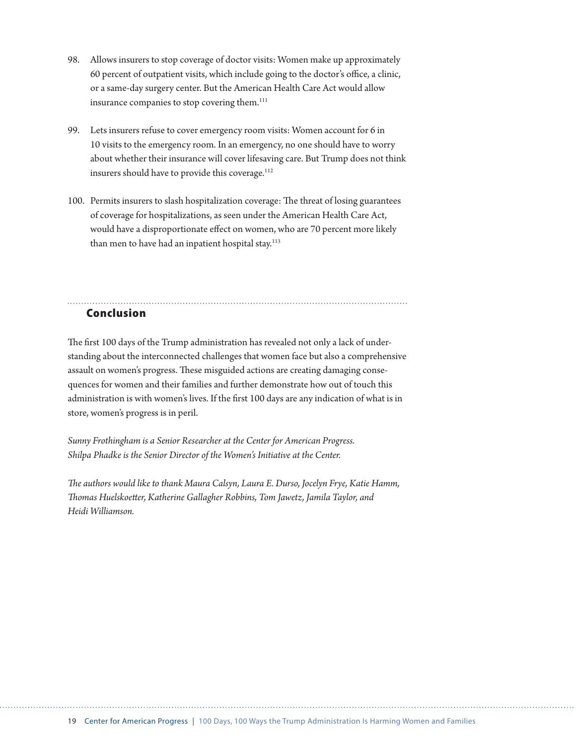- 98. Allows insurers to stop coverage of doctor visits: Women make up approximately 60 percent of outpatient visits, which include going to the doctor's office, a clinic, or a same-day surgery center. But the American Health Care Act would allow insurance companies to stop covering them.<sup>111</sup>
- 99. Lets insurers refuse to cover emergency room visits: Women account for 6 in 10 visits to the emergency room. In an emergency, no one should have to worry about whether their insurance will cover lifesaving care. But Trump does not think insurers should have to provide this coverage.<sup>112</sup>
- 100. Permits insurers to slash hospitalization coverage: The threat of losing guarantees of coverage for hospitalizations, as seen under the American Health Care Act, would have a disproportionate effect on women, who are 70 percent more likely than men to have had an inpatient hospital stay.<sup>113</sup>

### Conclusion

The first 100 days of the Trump administration has revealed not only a lack of understanding about the interconnected challenges that women face but also a comprehensive assault on women's progress. These misguided actions are creating damaging consequences for women and their families and further demonstrate how out of touch this administration is with women's lives. If the first 100 days are any indication of what is in store, women's progress is in peril.

*Sunny Frothingham is a Senior Researcher at the Center for American Progress. Shilpa Phadke is the Senior Director of the Women's Initiative at the Center.*

*The authors would like to thank Maura Calsyn, Laura E. Durso, Jocelyn Frye, Katie Hamm, Thomas Huelskoetter, Katherine Gallagher Robbins, Tom Jawetz, Jamila Taylor, and Heidi Williamson.*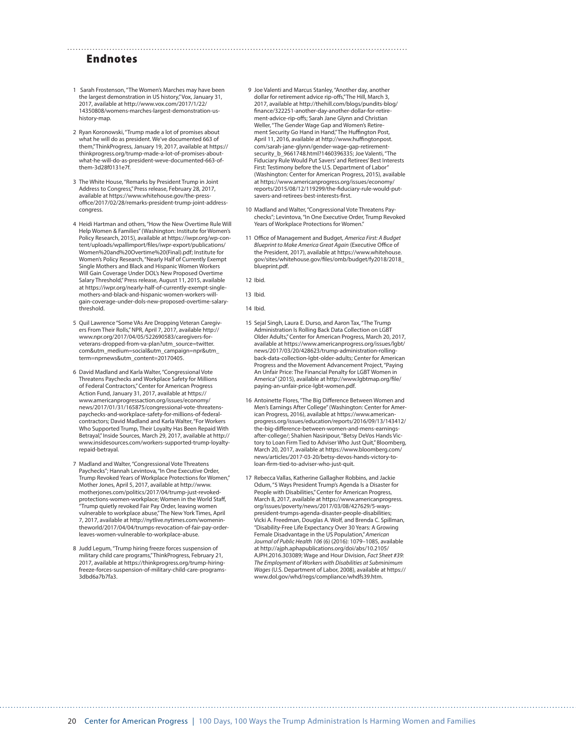#### Endnotes

- 1 Sarah Frostenson, "The Women's Marches may have been the largest demonstration in US history," Vox, January 31, 2017, available at http://www.vox.com/2017/1/22/ 14350808/womens-marches-largest-demonstration-ushistory-map.
- 2 Ryan Koronowski, "Trump made a lot of promises about what he will do as president. We've documented 663 of them," ThinkProgress, January 19, 2017, available at https:// thinkprogress.org/trump-made-a-lot-of-promises-aboutwhat-he-will-do-as-president-weve-documented-663-ofthem-3d28f0131e7f.
- 3 The White House, "Remarks by President Trump in Joint Address to Congress," Press release, February 28, 2017, available at https://www.whitehouse.gov/the-pressoffice/2017/02/28/remarks-president-trump-joint-addresscongress.
- 4 Heidi Hartman and others, "How the New Overtime Rule Will Help Women & Families" (Washington: Institute for Women's Policy Research, 2015), available at https://iwpr.org/wp-content/uploads/wpallimport/files/iwpr-export/publications/ Women%20and%20Overtime%20(Final).pdf; Institute for Women's Policy Research, "Nearly Half of Currently Exempt Single Mothers and Black and Hispanic Women Workers Will Gain Coverage Under DOL's New Proposed Overtime Salary Threshold," Press release, August 11, 2015, available at https://iwpr.org/nearly-half-of-currently-exempt-singlemothers-and-black-and-hispanic-women-workers-willgain-coverage-under-dols-new-proposed-overtime-salarythreshold.
- 5 Quil Lawrence "Some VAs Are Dropping Veteran Caregivers From Their Rolls," NPR, April 7, 2017, available http:// www.npr.org/2017/04/05/522690583/caregivers-forveterans-dropped-from-va-plan?utm\_source=twitter. com&utm\_medium=social&utm\_campaign=npr&utm\_ term=nprnews&utm\_content=20170405.
- 6 David Madland and Karla Walter, "Congressional Vote Threatens Paychecks and Workplace Safety for Millions of Federal Contractors," Center for American Progress Action Fund, January 31, 2017, available at https:// www.americanprogressaction.org/issues/economy/ news/2017/01/31/165875/congressional-vote-threatenspaychecks-and-workplace-safety-for-millions-of-federalcontractors; David Madland and Karla Walter, "For Workers Who Supported Trump, Their Loyalty Has Been Repaid With Betrayal," Inside Sources, March 29, 2017, available at http:// www.insidesources.com/workers-supported-trump-loyaltyrepaid-betrayal.
- 7 Madland and Walter, "Congressional Vote Threatens Paychecks"; Hannah Levintova, "In One Executive Order, Trump Revoked Years of Workplace Protections for Women," Mother Jones, April 5, 2017, available at http://www. motherjones.com/politics/2017/04/trump-just-revokedprotections-women-workplace; Women in the World Staff, "Trump quietly revoked Fair Pay Order, leaving women vulnerable to workplace abuse," The New York Times, April 7, 2017, available at http://nytlive.nytimes.com/womenintheworld/2017/04/04/trumps-revocation-of-fair-pay-orderleaves-women-vulnerable-to-workplace-abuse.
- 8 Judd Legum, "Trump hiring freeze forces suspension of military child care programs," ThinkProgress, February 21, 2017, available at https://thinkprogress.org/trump-hiringfreeze-forces-suspension-of-military-child-care-programs-3dbd6a7b7fa3.
- 9 Joe Valenti and Marcus Stanley, "Another day, another dollar for retirement advice rip-offs," The Hill, March 3, 2017, available at http://thehill.com/blogs/pundits-blog/ finance/322251-another-day-another-dollar-for-retirement-advice-rip-offs; Sarah Jane Glynn and Christian Weller, "The Gender Wage Gap and Women's Retirement Security Go Hand in Hand," The Huffington Post, April 11, 2016, available at http://www.huffingtonpost. com/sarah-jane-glynn/gender-wage-gap-retirementsecurity\_b\_9661748.html?1460396335; Joe Valenti, "The Fiduciary Rule Would Put Savers' and Retirees' Best Interests First: Testimony before the U.S. Department of Labor" (Washington: Center for American Progress, 2015), available at https://www.americanprogress.org/issues/economy/ reports/2015/08/12/119299/the-fiduciary-rule-would-putsavers-and-retirees-best-interests-first.
- 10 Madland and Walter, "Congressional Vote Threatens Paychecks"; Levintova, "In One Executive Order, Trump Revoked Years of Workplace Protections for Women."
- 11 Office of Management and Budget, *America First: A Budget Blueprint to Make America Great Again* (Executive Office of the President, 2017), available at https://www.whitehouse. gov/sites/whitehouse.gov/files/omb/budget/fy2018/2018\_ blueprint.pdf.

12 Ibid.

13 Ibid.

14 Ibid.

- 15 Sejal Singh, Laura E. Durso, and Aaron Tax, "The Trump Administration Is Rolling Back Data Collection on LGBT Older Adults," Center for American Progress, March 20, 2017, available at https://www.americanprogress.org/issues/lgbt/ news/2017/03/20/428623/trump-administration-rollingback-data-collection-lgbt-older-adults; Center for American Progress and the Movement Advancement Project, "Paying An Unfair Price: The Financial Penalty for LGBT Women in America" (2015), available at http://www.lgbtmap.org/file/ paying-an-unfair-price-lgbt-women.pdf.
- 16 Antoinette Flores, "The Big Difference Between Women and Men's Earnings After College" (Washington: Center for American Progress, 2016), available at https://www.americanprogress.org/issues/education/reports/2016/09/13/143412/ the-big-difference-between-women-and-mens-earningsafter-college/; Shahien Nasiripour, "Betsy DeVos Hands Victory to Loan Firm Tied to Adviser Who Just Quit," Bloomberg, March 20, 2017, available at https://www.bloomberg.com/ news/articles/2017-03-20/betsy-devos-hands-victory-toloan-firm-tied-to-adviser-who-just-quit.
- 17 Rebecca Vallas, Katherine Gallagher Robbins, and Jackie Odum, "5 Ways President Trump's Agenda Is a Disaster for People with Disabilities," Center for American Progress, March 8, 2017, available at https://www.americanprogress. org/issues/poverty/news/2017/03/08/427629/5-wayspresident-trumps-agenda-disaster-people-disabilities; Vicki A. Freedman, Douglas A. Wolf, and Brenda C. Spillman, "Disability-Free Life Expectancy Over 30 Years: A Growing Female Disadvantage in the US Population," *American Journal of Public Health 106* (6) (2016): 1079–1085, available at http://ajph.aphapublications.org/doi/abs/10.2105/ AJPH.2016.303089; Wage and Hour Division, *Fact Sheet #39: The Employment of Workers with Disabilities at Subminimum Wages* (U.S. Department of Labor, 2008), available at https:// www.dol.gov/whd/regs/compliance/whdfs39.htm.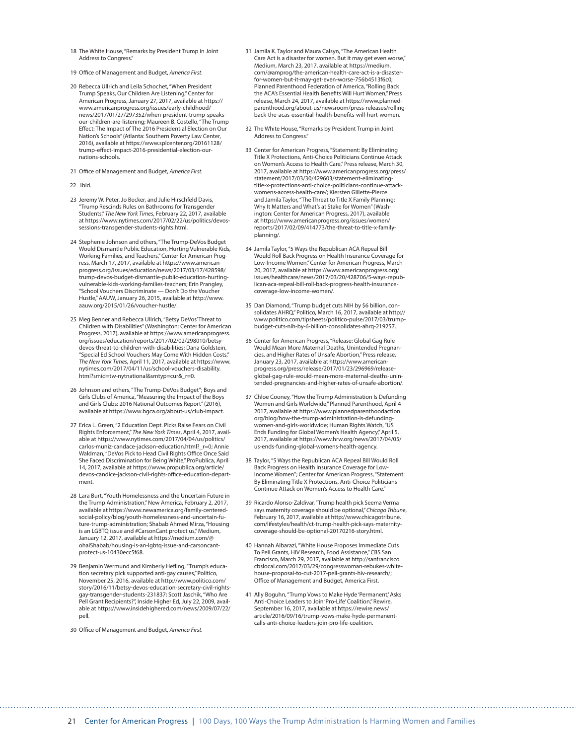- 18 The White House, "Remarks by President Trump in Joint Address to Congress."
- 19 Office of Management and Budget, *America First*.
- 20 Rebecca Ullrich and Leila Schochet, "When President Trump Speaks, Our Children Are Listening," Center for American Progress, January 27, 2017, available at https:// www.americanprogress.org/issues/early-childhood/ news/2017/01/27/297352/when-president-trump-speaksour-children-are-listening; Maureen B. Costello, "The Trump Effect: The Impact of The 2016 Presidential Election on Our Nation's Schools" (Atlanta: Southern Poverty Law Center, 2016), available at https://www.splcenter.org/20161128/ trump-effect-impact-2016-presidential-election-ournations-schools.
- 21 Office of Management and Budget, *America First*.
- 22 Ibid.
- 23 Jeremy W. Peter, Jo Becker, and Julie Hirschfeld Davis, "Trump Rescinds Rules on Bathrooms for Transgender Students," *The New York Times*, February 22, 2017, available at https://www.nytimes.com/2017/02/22/us/politics/devossessions-transgender-students-rights.html.
- 24 Stephenie Johnson and others, "The Trump-DeVos Budget Would Dismantle Public Education, Hurting Vulnerable Kids, Working Families, and Teachers," Center for American Progress, March 17, 2017, available at https://www.americanprogress.org/issues/education/news/2017/03/17/428598/ trump-devos-budget-dismantle-public-education-hurtingvulnerable-kids-working-families-teachers; Erin Prangley, "School Vouchers Discriminate — Don't Do the Voucher Hustle," AAUW, January 26, 2015, available at http://www. aauw.org/2015/01/26/voucher-hustle/.
- 25 Meg Benner and Rebecca Ullrich, "Betsy DeVos' Threat to Children with Disabilities" (Washington: Center for American Progress, 2017), available at https://www.americanprogress. org/issues/education/reports/2017/02/02/298010/betsydevos-threat-to-children-with-disabilities; Dana Goldstein, "Special Ed School Vouchers May Come With Hidden Costs," *The New York Times*, April 11, 2017, available at https://www. nytimes.com/2017/04/11/us/school-vouchers-disability. html?smid=tw-nytnational&smtyp=cur&\_r=0.
- 26 Johnson and others, "The Trump-DeVos Budget"; Boys and Girls Clubs of America, "Measuring the Impact of the Boys and Girls Clubs: 2016 National Outcomes Report" (2016), available at https://www.bgca.org/about-us/club-impact.
- 27 Erica L. Green, "2 Education Dept. Picks Raise Fears on Civil Rights Enforcement," *The New York Times*, April 4, 2017, available at https://www.nytimes.com/2017/04/04/us/politics/ carlos-muniz-candace-jackson-education.html?\_r=0; Annie Waldman, "DeVos Pick to Head Civil Rights Office Once Said She Faced Discrimination for Being White," ProPublica, April 14, 2017, available at https://www.propublica.org/article/ devos-candice-jackson-civil-rights-office-education-department.
- 28 Lara Burt, "Youth Homelessness and the Uncertain Future in the Trump Administration," New America, February 2, 2017, available at https://www.newamerica.org/family-centeredsocial-policy/blog/youth-homelessness-and-uncertain-future-trump-administration; Shabab Ahmed Mirza, "Housing is an LGBTQ issue and #CarsonCant protect us," Medium, January 12, 2017, available at https://medium.com/@ ohaiShabab/housing-is-an-lgbtq-issue-and-carsoncantprotect-us-10430ecc5f68.
- 29 Benjamin Wermund and Kimberly Hefling, "Trump's education secretary pick supported anti-gay causes," Politico, November 25, 2016, available at http://www.politico.com/ story/2016/11/betsy-devos-education-secretary-civil-rightsgay-transgender-students-231837; Scott Jaschik, "Who Are Pell Grant Recipients?", Inside Higher Ed, July 22, 2009, available at https://www.insidehighered.com/news/2009/07/22/ pell.
- 30 Office of Management and Budget, *America First*.
- 31 Jamila K. Taylor and Maura Calsyn, "The American Health Care Act is a disaster for women. But it may get even worse," Medium, March 23, 2017, available at https://medium. com/@amprog/the-american-health-care-act-is-a-disasterfor-women-but-it-may-get-even-worse-756b4513f6c0; Planned Parenthood Federation of America, "Rolling Back the ACA's Essential Health Benefits Will Hurt Women," Press release, March 24, 2017, available at https://www.plannedparenthood.org/about-us/newsroom/press-releases/rollingback-the-acas-essential-health-benefits-will-hurt-women.
- 32 The White House, "Remarks by President Trump in Joint Address to Congress."
- 33 Center for American Progress, "Statement: By Eliminating Title X Protections, Anti-Choice Politicians Continue Attack on Women's Access to Health Care," Press release, March 30, 2017, available at https://www.americanprogress.org/press/ statement/2017/03/30/429603/statement-eliminatingtitle-x-protections-anti-choice-politicians-continue-attackwomens-access-health-care/; Kiersten Gillette-Pierce and Jamila Taylor, "The Threat to Title X Family Planning: Why It Matters and What's at Stake for Women" (Washington: Center for American Progress, 2017), available at https://www.americanprogress.org/issues/women/ reports/2017/02/09/414773/the-threat-to-title-x-familyplanning/.
- 34 Jamila Taylor, "5 Ways the Republican ACA Repeal Bill Would Roll Back Progress on Health Insurance Coverage for Low-Income Women," Center for American Progress, March 20, 2017, available at https://www.americanprogress.org/ issues/healthcare/news/2017/03/20/428706/5-ways-republican-aca-repeal-bill-roll-back-progress-health-insurancecoverage-low-income-women/.
- 35 Dan Diamond, "Trump budget cuts NIH by \$6 billion, consolidates AHRQ," Politico, March 16, 2017, available at http:// www.politico.com/tipsheets/politico-pulse/2017/03/trumpbudget-cuts-nih-by-6-billion-consolidates-ahrq-219257.
- 36 Center for American Progress, "Release: Global Gag Rule Would Mean More Maternal Deaths, Unintended Pregnancies, and Higher Rates of Unsafe Abortion," Press release, January 23, 2017, available at https://www.americanprogress.org/press/release/2017/01/23/296969/releaseglobal-gag-rule-would-mean-more-maternal-deaths-unintended-pregnancies-and-higher-rates-of-unsafe-abortion/.
- 37 Chloe Cooney, "How the Trump Administration Is Defunding Women and Girls Worldwide," Planned Parenthood, April 4 2017, available at https://www.plannedparenthoodaction. org/blog/how-the-trump-administration-is-defunding-women-and-girls-worldwide; Human Rights Watch, "US Ends Funding for Global Women's Health Agency," April 5, 2017, available at https://www.hrw.org/news/2017/04/05/ us-ends-funding-global-womens-health-agency.
- 38 Taylor, "5 Ways the Republican ACA Repeal Bill Would Roll Back Progress on Health Insurance Coverage for Low-Income Women"; Center for American Progress, "Statement: By Eliminating Title X Protections, Anti-Choice Politicians Continue Attack on Women's Access to Health Care."
- 39 Ricardo Alonso-Zaldivar, "Trump health pick Seema Verma says maternity coverage should be optional," *Chicago Tribune*, February 16, 2017, available at http://www.chicagotribune. com/lifestyles/health/ct-trump-health-pick-says-maternitycoverage-should-be-optional-20170216-story.html.
- 40 Hannah Albarazi, "White House Proposes Immediate Cuts To Pell Grants, HIV Research, Food Assistance," CBS San Francisco, March 29, 2017, available at http://sanfrancisco. cbslocal.com/2017/03/29/congresswoman-rebukes-whitehouse-proposal-to-cut-2017-pell-grants-hiv-research/; Office of Management and Budget, America First.
- 41 Ally Boguhn, "Trump Vows to Make Hyde 'Permanent,' Asks Anti-Choice Leaders to Join 'Pro-Life' Coalition," Rewire, September 16, 2017, available at https://rewire.news/ article/2016/09/16/trump-vows-make-hyde-permanentcalls-anti-choice-leaders-join-pro-life-coalition.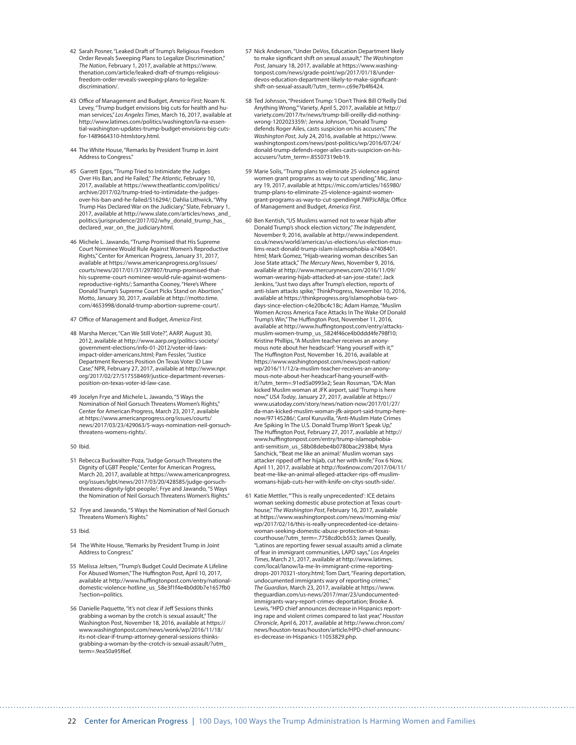- 42 Sarah Posner, "Leaked Draft of Trump's Religious Freedom Order Reveals Sweeping Plans to Legalize Discrimination," *The Nation*, February 1, 2017, available at https://www. thenation.com/article/leaked-draft-of-trumps-religiousfreedom-order-reveals-sweeping-plans-to-legalizediscrimination/.
- 43 Office of Management and Budget, *America First*; Noam N. Levey, "Trump budget envisions big cuts for health and human services," *Los Angeles Times*, March 16, 2017, available at http://www.latimes.com/politics/washington/la-na-essential-washington-updates-trump-budget-envisions-big-cutsfor-1489664310-htmlstory.html.
- 44 The White House, "Remarks by President Trump in Joint Address to Congress."
- 45 Garrett Epps, "Trump Tried to Intimidate the Judges Over His Ban, and He Failed," *The Atlantic*, February 10, 2017, available at https://www.theatlantic.com/politics/ archive/2017/02/trump-tried-to-intimidate-the-judges-over-his-ban-and-he-failed/516294/; Dahlia Lithwick, "Why Trump Has Declared War on the Judiciary," Slate, February 1, 2017, available at http://www.slate.com/articles/news\_and\_ politics/jurisprudence/2017/02/why\_donald\_trump\_has\_ declared\_war\_on\_the\_judiciary.html.
- 46 Michele L. Jawando, "Trump Promised that His Supreme Court Nominee Would Rule Against Women's Reproductive Rights," Center for American Progress, January 31, 2017, available at https://www.americanprogress.org/issues/ courts/news/2017/01/31/297807/trump-promised-thathis-supreme-court-nominee-would-rule-against-womensreproductive-rights/; Samantha Cooney, "Here's Where Donald Trump's Supreme Court Picks Stand on Abortion," Motto, January 30, 2017, available at http://motto.time. com/4653998/donald-trump-abortion-supreme-court/.
- 47 Office of Management and Budget, *America First*.
- 48 Marsha Mercer, "Can We Still Vote?", AARP, August 30, 2012, available at http://www.aarp.org/politics-society/ government-elections/info-01-2012/voter-id-lawsimpact-older-americans.html; Pam Fessler, "Justice Department Reverses Position On Texas Voter ID Law Case," NPR, February 27, 2017, available at http://www.npr. org/2017/02/27/517558469/justice-department-reversesposition-on-texas-voter-id-law-case.
- 49 Jocelyn Frye and Michele L. Jawando, "5 Ways the Nomination of Neil Gorsuch Threatens Women's Rights," Center for American Progress, March 23, 2017, available at https://www.americanprogress.org/issues/courts/ news/2017/03/23/429063/5-ways-nomination-neil-gorsuchthreatens-womens-rights/.
- 50 Ibid.
- 51 Rebecca Buckwalter-Poza, "Judge Gorsuch Threatens the Dignity of LGBT People," Center for American Progress, March 20, 2017, available at https://www.americanprogress. org/issues/lgbt/news/2017/03/20/428585/judge-gorsuchthreatens-dignity-lgbt-people/; Frye and Jawando, "5 Ways the Nomination of Neil Gorsuch Threatens Women's Rights."
- 52 Frye and Jawando, "5 Ways the Nomination of Neil Gorsuch Threatens Women's Rights."
- 53 Ibid.
- 54 The White House, "Remarks by President Trump in Joint Address to Congress."
- 55 Melissa Jeltsen, "Trump's Budget Could Decimate A Lifeline For Abused Women," The Huffington Post, April 10, 2017, available at http://www.huffingtonpost.com/entry/nationaldomestic-violence-hotline\_us\_58e3f1f4e4b0d0b7e1657fb0 ?section=politics.
- 56 Danielle Paquette, "It's not clear if Jeff Sessions thinks grabbing a woman by the crotch is sexual assault," The Washington Post, November 18, 2016, available at https:// www.washingtonpost.com/news/wonk/wp/2016/11/18/ its-not-clear-if-trump-attorney-general-sessions-thinksgrabbing-a-woman-by-the-crotch-is-sexual-assault/?utm\_ term=.9ea50a95f6ef.
- 57 Nick Anderson, "Under DeVos, Education Department likely to make significant shift on sexual assault," *The Washington Post*, January 18, 2017, available at https://www.washingtonpost.com/news/grade-point/wp/2017/01/18/underdevos-education-department-likely-to-make-significantshift-on-sexual-assault/?utm\_term=.c69e7b4f6424.
- 58 Ted Johnson, "President Trump: 'I Don't Think Bill O'Reilly Did Anything Wrong,'" Variety, April 5, 2017, available at http:// variety.com/2017/tv/news/trump-bill-oreilly-did-nothingwrong-1202023359/; Jenna Johnson, "Donald Trump defends Roger Ailes, casts suspicion on his accusers," *The Washington Post*, July 24, 2016, available at https://www. washingtonpost.com/news/post-politics/wp/2016/07/24/ donald-trump-defends-roger-ailes-casts-suspicion-on-his-accusers/?utm\_term=.85507319eb19.
- 59 Marie Solis, "Trump plans to eliminate 25 violence against women grant programs as way to cut spending," Mic, January 19, 2017, available at https://mic.com/articles/165980/ trump-plans-to-eliminate-25-violence-against-womengrant-programs-as-way-to-cut-spending#.7WPJcARja; Office of Management and Budget, *America First*.
- 60 Ben Kentish, "US Muslims warned not to wear hijab after Donald Trump's shock election victory," *The Independent*, November 9, 2016, available at http://www.independent. co.uk/news/world/americas/us-elections/us-election-muslims-react-donald-trump-islam-islamophobia-a7408401. html; Mark Gomez, "Hijab-wearing woman describes San Jose State attack," *The Mercury News*, November 9, 2016, available at http://www.mercurynews.com/2016/11/09/ woman-wearing-hijab-attacked-at-san-jose-state/; Jack Jenkins, "Just two days after Trump's election, reports of anti-Islam attacks spike," ThinkProgress, November 10, 2016, available at https://thinkprogress.org/islamophobia-twodays-since-election-c4e20bc4c18c; Adam Hamze, "Muslim Women Across America Face Attacks In The Wake Of Donald Trump's Win," The Huffington Post, November 11, 2016, available at http://www.huffingtonpost.com/entry/attacksmuslim-women-trump\_us\_5824f46ce4b0ddd4fe798f10; Kristine Phillips, "A Muslim teacher receives an anonymous note about her headscarf: 'Hang yourself with it,'" The Huffington Post, November 16, 2016, available at https://www.washingtonpost.com/news/post-nation/ wp/2016/11/12/a-muslim-teacher-receives-an-anonymous-note-about-her-headscarf-hang-yourself-withit/?utm\_term=.91ed5a0993e2; Sean Rossman, "DA: Man kicked Muslim woman at JFK airport, said 'Trump is here now,'" *USA Today*, January 27, 2017, available at https:// www.usatoday.com/story/news/nation-now/2017/01/27/ da-man-kicked-muslim-woman-jfk-airport-said-trump-herenow/97145286/; Carol Kuruvilla, "Anti-Muslim Hate Crimes Are Spiking In The U.S. Donald Trump Won't Speak Up," The Huffington Post, February 27, 2017, available at http:// www.huffingtonpost.com/entry/trump-islamophobiaanti-semitism\_us\_58b08debe4b0780bac2938b4; Myra Sanchick, "'Beat me like an animal:' Muslim woman says attacker ripped off her hijab, cut her with knife," Fox 6 Now, April 11, 2017, available at http://fox6now.com/2017/04/11/ beat-me-like-an-animal-alleged-attacker-rips-off-muslimwomans-hijab-cuts-her-with-knife-on-citys-south-side/.
- 61 Katie Mettler, "'This is really unprecedented': ICE detains woman seeking domestic abuse protection at Texas courthouse," *The Washington Post*, February 16, 2017, available at https://www.washingtonpost.com/news/morning-mix/ wp/2017/02/16/this-is-really-unprecedented-ice-detainswoman-seeking-domestic-abuse-protection-at-texascourthouse/?utm\_term=.7758cd0cb553; James Queally, "Latinos are reporting fewer sexual assaults amid a climate of fear in immigrant communities, LAPD says," *Los Angeles Times*, March 21, 2017, available at http://www.latimes. com/local/lanow/la-me-ln-immigrant-crime-reportingdrops-20170321-story.html; Tom Dart, "Fearing deportation, undocumented immigrants wary of reporting crimes," *The Guardian*, March 23, 2017, available at https://www. theguardian.com/us-news/2017/mar/23/undocumentedimmigrants-wary-report-crimes-deportation; Brooke A. Lewis, "HPD chief announces decrease in Hispanics reporting rape and violent crimes compared to last year," *Houston Chronicle*, April 6, 2017, available at http://www.chron.com/ news/houston-texas/houston/article/HPD-chief-announces-decrease-in-Hispanics-11053829.php.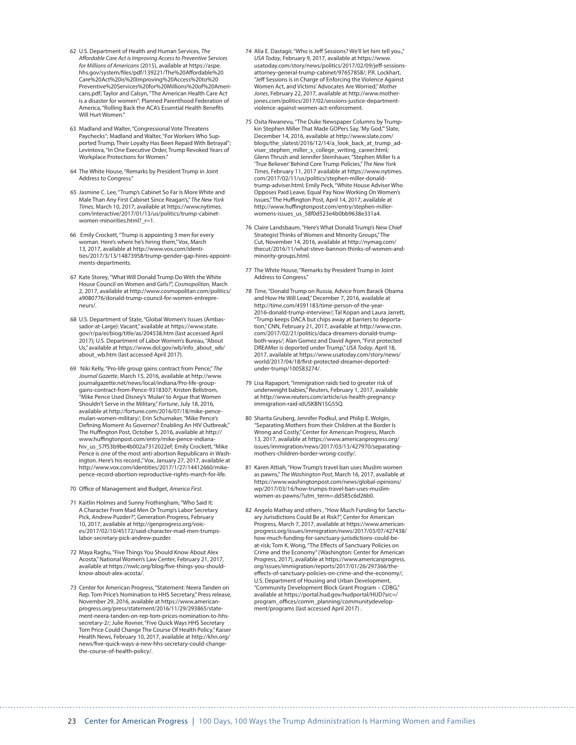- 62 U.S. Department of Health and Human Services, *The Affordable Care Act is Improving Access to Preventive Services for Millions of Americans* (2015), available at https://aspe. hhs.gov/system/files/pdf/139221/The%20Affordable%20 Care%20Act%20is%20Improving%20Access%20to%20 Preventive%20Services%20for%20Millions%20of%20Americans.pdf; Taylor and Calsyn, "The American Health Care Act is a disaster for women"; Planned Parenthood Federation of America, "Rolling Back the ACA's Essential Health Benefits Will Hurt Women."
- 63 Madland and Walter, "Congressional Vote Threatens Paychecks"; Madland and Walter, "For Workers Who Supported Trump, Their Loyalty Has Been Repaid With Betrayal"; Levintova, "In One Executive Order, Trump Revoked Years of Workplace Protections for Women."
- 64 The White House, "Remarks by President Trump in Joint Address to Congress."
- 65 Jasmine C. Lee, "Trump's Cabinet So Far Is More White and Male Than Any First Cabinet Since Reagan's," *The New York Times*, March 10, 2017, available at https://www.nytimes. com/interactive/2017/01/13/us/politics/trump-cabinetwomen-minorities.html?\_r=1.
- 66 Emily Crockett, "Trump is appointing 3 men for every woman. Here's where he's hiring them," Vox, March 13, 2017, available at http://www.vox.com/identities/2017/3/13/14873958/trump-gender-gap-hires-appointments-departments.
- 67 Kate Storey, "What Will Donald Trump Do With the White House Council on Women and Girls?", *Cosmopolitan*, March 2, 2017, available at http://www.cosmopolitan.com/politics/ a9080776/donald-trump-council-for-women-entrepreneurs/.
- 68 U.S. Department of State, "Global Women's Issues (Ambassador-at-Large): Vacant," available at https://www.state. gov/r/pa/ei/biog/title/as/204538.htm (last accessed April 2017); U.S. Department of Labor Women's Bureau, "About Us," available at https://www.dol.gov/wb/info\_about\_wb/ about\_wb.htm (last accessed April 2017).
- 69 Niki Kelly, "Pro-life group gains contract from Pence," *The Journal Gazette*, March 15, 2016, available at http://www. journalgazette.net/news/local/indiana/Pro-life-groupgains-contract-from-Pence-9318307; Kristen Bellstrom, "Mike Pence Used Disney's 'Mulan' to Argue that Women Shouldn't Serve in the Military," *Fortune*, July 18, 2016, available at http://fortune.com/2016/07/18/mike-pencemulan-women-military/; Erin Schumaker, "Mike Pence's Defining Moment As Governor? Enabling An HIV Outbreak," The Huffington Post, October 5, 2016, available at http:// www.huffingtonpost.com/entry/mike-pence-indianahiv\_us\_57f53b9be4b002a7312022ef; Emily Crockett, "Mike Pence is one of the most anti-abortion Republicans in Washington. Here's his record.," Vox, January 27, 2017, available at http://www.vox.com/identities/2017/1/27/14412660/mikepence-record-abortion-reproductive-rights-march-for-life.
- 70 Office of Management and Budget, *America First*.
- 71 Kaitlin Holmes and Sunny Frothingham, "Who Said It: A Character From Mad Men Or Trump's Labor Secretary Pick, Andrew Puzder?", Generation Progress, February 10, 2017, available at http://genprogress.org/voices/2017/02/10/45172/said-character-mad-men-trumpslabor-secretary-pick-andrew-puzder.
- 72 Maya Raghu, "Five Things You Should Know About Alex Acosta," National Women's Law Center, February 21, 2017, available at https://nwlc.org/blog/five-things-you-shouldknow-about-alex-acosta/.
- 73 Center for American Progress, "Statement: Neera Tanden on Rep. Tom Price's Nomination to HHS Secretary," Press release, November 29, 2016, available at https://www.americanprogress.org/press/statement/2016/11/29/293865/statement-neera-tanden-on-rep-tom-prices-nomination-to-hhssecretary-2/; Julie Rovner, "Five Quick Ways HHS Secretary Tom Price Could Change The Course Of Health Policy," Kaiser Health News, February 10, 2017, available at http://khn.org/ news/five-quick-ways-a-new-hhs-secretary-could-changethe-course-of-health-policy/.
- 74 Alia E. Dastagir, "Who is Jeff Sessions? We'll let him tell you.," *USA Today*, February 9, 2017, available at https://www. usatoday.com/story/news/politics/2017/02/09/jeff-sessions-attorney-general-trump-cabinet/97657858/; P.R. Lockhart, "Jeff Sessions Is in Charge of Enforcing the Violence Against Women Act, and Victims' Advocates Are Worried," *Mother Jones*, February 22, 2017, available at http://www.motherjones.com/politics/2017/02/sessions-justice-departmentviolence-against-women-act-enforcement.
- 75 Osita Nwanevu, "The Duke Newspaper Columns by Trumpkin Stephen Miller That Made GOPers Say, 'My God,'" Slate, December 14, 2016, available at http://www.slate.com/ blogs/the\_slatest/2016/12/14/a\_look\_back\_at\_trump\_adviser\_stephen\_miller\_s\_college\_writing\_career.html; Glenn Thrush and Jennifer Steinhauer, "Stephen Miller Is a 'True Believer' Behind Core Trump Policies," *The New York Times*, February 11, 2017 available at https://www.nytimes. com/2017/02/11/us/politics/stephen-miller-donaldtrump-adviser.html; Emily Peck, "White House Adviser Who Opposes Paid Leave, Equal Pay Now Working On Women's Issues," The Huffington Post, April 14, 2017, available at http://www.huffingtonpost.com/entry/stephen-millerwomens-issues\_us\_58f0d523e4b0bb9638e331a4.
- 76 Claire Landsbaum, "Here's What Donald Trump's New Chief Strategist Thinks of Women and Minority Groups," The Cut, November 14, 2016, available at http://nymag.com/ thecut/2016/11/what-steve-bannon-thinks-of-women-andminority-groups.html.
- 77 The White House, "Remarks by President Trump in Joint Address to Congress."
- 78 *Time*, "Donald Trump on Russia, Advice from Barack Obama and How He Will Lead," December 7, 2016, available at http://time.com/4591183/time-person-of-the-year-2016-donald-trump-interview/; Tal Kopan and Laura Jarrett, "Trump keeps DACA but chips away at barriers to deportation," CNN, February 21, 2017, available at http://www.cnn. com/2017/02/21/politics/daca-dreamers-donald-trumpboth-ways/; Alan Gomez and David Agren, "First protected DREAMer is deported under Trump," *USA Today*, April 18, 2017, available at https://www.usatoday.com/story/news/ world/2017/04/18/first-protected-dreamer-deportedunder-trump/100583274/.
- 79 Lisa Rapaport, "Immigration raids tied to greater risk of underweight babies," Reuters, February 1, 2017, available at http://www.reuters.com/article/us-health-pregnancyimmigration-raid-idUSKBN15G55Q.
- 80 Sharita Gruberg, Jennifer Podkul, and Philip E. Wolgin, "Separating Mothers from their Children at the Border Is Wrong and Costly," Center for American Progress, March 13, 2017, available at https://www.americanprogress.org/ issues/immigration/news/2017/03/13/427970/separatingmothers-children-border-wrong-costly/.
- 81 Karen Attiah, "How Trump's travel ban uses Muslim women as pawns," *The Washington Post*, March 16, 2017, available at https://www.washingtonpost.com/news/global-opinions/ wp/2017/03/16/how-trumps-travel-ban-uses-muslimwomen-as-pawns/?utm\_term=.dd585c6d26b0.
- 82 Angelo Mathay and others , "How Much Funding for Sanctuary Jurisdictions Could Be at Risk?", Center for American Progress, March 7, 2017, available at https://www.americanprogress.org/issues/immigration/news/2017/03/07/427438/ how-much-funding-for-sanctuary-jurisdictions-could-beat-risk; Tom K. Wong, "The Effects of Sanctuary Policies on Crime and the Economy" (Washington: Center for American Progress, 2017), available at https://www.americanprogress. org/issues/immigration/reports/2017/01/26/297366/theeffects-of-sanctuary-policies-on-crime-and-the-economy/; U.S. Department of Housing and Urban Development, "Community Development Block Grant Program – CDBG," available at https://portal.hud.gov/hudportal/HUD?src=/ program\_offices/comm\_planning/communitydevelopment/programs (last accessed April 2017) .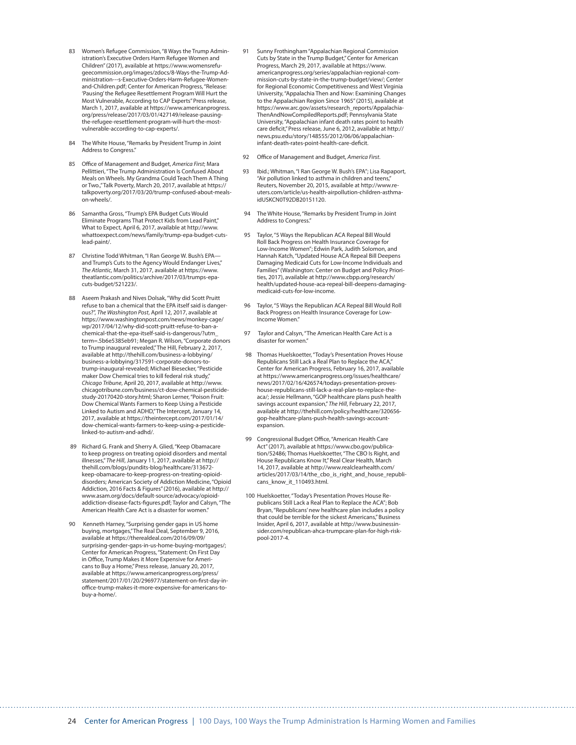- 83 Women's Refugee Commission, "8 Ways the Trump Administration's Executive Orders Harm Refugee Women and Children" (2017), available at https://www.womensrefugeecommission.org/images/zdocs/8-Ways-the-Trump-Administration---s-Executive-Orders-Harm-Refugee-Womenand-Children.pdf; Center for American Progress, "Release: 'Pausing' the Refugee Resettlement Program Will Hurt the Most Vulnerable, According to CAP Experts" Press release, March 1, 2017, available at https://www.americanprogress. org/press/release/2017/03/01/427149/release-pausingthe-refugee-resettlement-program-will-hurt-the-mostvulnerable-according-to-cap-experts/.
- 84 The White House, "Remarks by President Trump in Joint Address to Congress."
- 85 Office of Management and Budget, *America First*; Mara Pellittieri, "The Trump Administration Is Confused About Meals on Wheels. My Grandma Could Teach Them A Thing or Two.," Talk Poverty, March 20, 2017, available at https:// talkpoverty.org/2017/03/20/trump-confused-about-mealson-wheels/.
- 86 Samantha Gross, "Trump's EPA Budget Cuts Would Eliminate Programs That Protect Kids from Lead Paint," What to Expect, April 6, 2017, available at http://www. whattoexpect.com/news/family/trump-epa-budget-cutslead-paint/.
- Christine Todd Whitman, "I Ran George W. Bush's EPAand Trump's Cuts to the Agency Would Endanger Lives," *The Atlantic*, March 31, 2017, available at https://www. theatlantic.com/politics/archive/2017/03/trumps-epacuts-budget/521223/.
- 88 Aseem Prakash and Nives Dolsak, "Why did Scott Pruitt refuse to ban a chemical that the EPA itself said is dangerous?", *The Washington Post*, April 12, 2017, available at https://www.washingtonpost.com/news/monkey-cage/ wp/2017/04/12/why-did-scott-pruitt-refuse-to-ban-achemical-that-the-epa-itself-said-is-dangerous/?utm\_ term=.5b6e5385eb91; Megan R. Wilson, "Corporate donors to Trump inaugural revealed," The Hill, February 2, 2017, available at http://thehill.com/business-a-lobbying/ business-a-lobbying/317591-corporate-donors-totrump-inaugural-revealed; Michael Biesecker, "Pesticide maker Dow Chemical tries to kill federal risk study." *Chicago Tribune*, April 20, 2017, available at http://www. chicagotribune.com/business/ct-dow-chemical-pesticidestudy-20170420-story.html; Sharon Lerner, "Poison Fruit: Dow Chemical Wants Farmers to Keep Using a Pesticide Linked to Autism and ADHD," The Intercept, January 14, 2017, available at https://theintercept.com/2017/01/14/ dow-chemical-wants-farmers-to-keep-using-a-pesticidelinked-to-autism-and-adhd/.
- 89 Richard G. Frank and Sherry A. Glied, "Keep Obamacare to keep progress on treating opioid disorders and mental illnesses," *The Hill*, January 11, 2017, available at http:// thehill.com/blogs/pundits-blog/healthcare/313672 keep-obamacare-to-keep-progress-on-treating-opioiddisorders; American Society of Addiction Medicine, "Opioid Addiction, 2016 Facts & Figures" (2016), available at http:// www.asam.org/docs/default-source/advocacy/opioidaddiction-disease-facts-figures.pdf; Taylor and Calsyn, "The American Health Care Act is a disaster for women.
- Kenneth Harney, "Surprising gender gaps in US home buying, mortgages," The Real Deal, September 9, 2016, available at https://therealdeal.com/2016/09/09/ surprising-gender-gaps-in-us-home-buying-mortgages/; Center for American Progress, "Statement: On First Day in Office, Trump Makes it More Expensive for Americans to Buy a Home," Press release, January 20, 2017, available at https://www.americanprogress.org/press/ statement/2017/01/20/296977/statement-on-first-day-inoffice-trump-makes-it-more-expensive-for-americans-tobuy-a-home/.
- 91 Sunny Frothingham "Appalachian Regional Commission Cuts by State in the Trump Budget," Center for American Progress, March 29, 2017, available at https://www. americanprogress.org/series/appalachian-regional-commission-cuts-by-state-in-the-trump-budget/view/; Center for Regional Economic Competitiveness and West Virginia University, "Appalachia Then and Now: Examining Changes to the Appalachian Region Since 1965" (2015), available at https://www.arc.gov/assets/research\_reports/Appalachia-ThenAndNowCompiledReports.pdf; Pennsylvania State University, "Appalachian infant death rates point to health care deficit," Press release, June 6, 2012, available at http:// news.psu.edu/story/148555/2012/06/06/appalachianinfant-death-rates-point-health-care-deficit.
- 92 Office of Management and Budget, *America First*.
- 93 Ibid.; Whitman, "I Ran George W. Bush's EPA"; Lisa Rapaport, "Air pollution linked to asthma in children and teens," Reuters, November 20, 2015, available at http://www.reuters.com/article/us-health-airpollution-children-asthmaidUSKCN0T92DB20151120.
- 94 The White House, "Remarks by President Trump in Joint Address to Congress."
- 95 Taylor, "5 Ways the Republican ACA Repeal Bill Would Roll Back Progress on Health Insurance Coverage for Low-Income Women"; Edwin Park, Judith Solomon, and Hannah Katch, "Updated House ACA Repeal Bill Deepens Damaging Medicaid Cuts for Low-Income Individuals and Families" (Washington: Center on Budget and Policy Priorities, 2017), available at http://www.cbpp.org/research/ health/updated-house-aca-repeal-bill-deepens-damagingmedicaid-cuts-for-low-income.
- 96 Taylor, "5 Ways the Republican ACA Repeal Bill Would Roll Back Progress on Health Insurance Coverage for Low-Income Women."
- 97 Taylor and Calsyn, "The American Health Care Act is a disaster for women.
- 98 Thomas Huelskoetter, "Today's Presentation Proves House Republicans Still Lack a Real Plan to Replace the ACA," Center for American Progress, February 16, 2017, available at https://www.americanprogress.org/issues/healthcare/ news/2017/02/16/426574/todays-presentation-proveshouse-republicans-still-lack-a-real-plan-to-replace-theaca/; Jessie Hellmann, "GOP healthcare plans push health savings account expansion," *The Hill*, February 22, 2017, available at http://thehill.com/policy/healthcare/320656 gop-healthcare-plans-push-health-savings-accountexpansion.
- 99 Congressional Budget Office, "American Health Care Act" (2017), available at https://www.cbo.gov/publication/52486; Thomas Huelskoetter, "The CBO Is Right, and House Republicans Know It," Real Clear Health, March 14, 2017, available at http://www.realclearhealth.com/ articles/2017/03/14/the\_cbo\_is\_right\_and\_house\_republicans\_know\_it\_110493.html.
- 100 Huelskoetter, "Today's Presentation Proves House Republicans Still Lack a Real Plan to Replace the ACA"; Bob Bryan, "Republicans' new healthcare plan includes a policy that could be terrible for the sickest Americans," Business Insider, April 6, 2017, available at http://www.businessinsider.com/republican-ahca-trumpcare-plan-for-high-riskpool-2017-4.